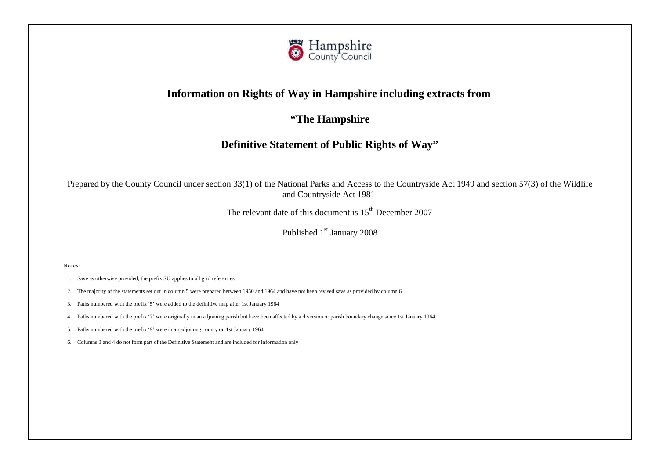

# **Information on Rights of Way in Hampshire including extracts from**

**"The Hampshire**

# **Definitive Statement of Public Rights of Way"**

Prepared by the County Council under section 33(1) of the National Parks and Access to the Countryside Act 1949 and section 57(3) of the Wildlife and Countryside Act 1981

The relevant date of this document is  $15<sup>th</sup>$  December 2007

Published 1<sup>st</sup> January 2008

Notes:

- 1. Save as otherwise provided, the prefix SU applies to all grid references
- 2. The majority of the statements set out in column 5 were prepared between 1950 and 1964 and have not been revised save as provided by column 6
- 3. Paths numbered with the prefix '5' were added to the definitive map after 1st January 1964
- 4. Paths numbered with the prefix '7' were originally in an adjoining parish but have been affected by a diversion or parish boundary change since 1st January 1964
- 5. Paths numbered with the prefix '9' were in an adjoining county on 1st January 1964
- 6. Columns 3 and 4 do not form part of the Definitive Statement and are included for information only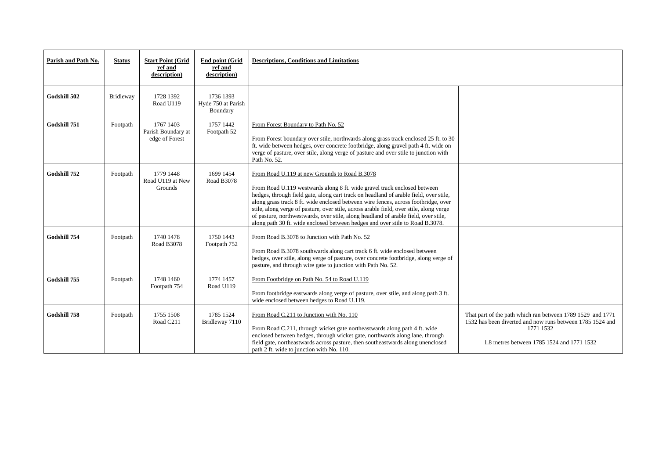| Parish and Path No. | <b>Status</b> | <b>Start Point (Grid</b><br>ref and<br>description) | <b>End point (Grid</b><br>ref and<br>description) | <b>Descriptions, Conditions and Limitations</b>                                                                                                                                                                                                                                                                                                                                                                                                                                                                                                                             |                                                                                                                       |  |
|---------------------|---------------|-----------------------------------------------------|---------------------------------------------------|-----------------------------------------------------------------------------------------------------------------------------------------------------------------------------------------------------------------------------------------------------------------------------------------------------------------------------------------------------------------------------------------------------------------------------------------------------------------------------------------------------------------------------------------------------------------------------|-----------------------------------------------------------------------------------------------------------------------|--|
| Godshill 502        | Bridleway     | 1728 1392<br>Road U119                              | 1736 1393<br>Hyde 750 at Parish<br>Boundary       |                                                                                                                                                                                                                                                                                                                                                                                                                                                                                                                                                                             |                                                                                                                       |  |
| Godshill 751        | Footpath      | 1767 1403<br>Parish Boundary at<br>edge of Forest   | 1757 1442<br>Footpath 52                          | From Forest Boundary to Path No. 52<br>From Forest boundary over stile, northwards along grass track enclosed 25 ft. to 30<br>ft. wide between hedges, over concrete footbridge, along gravel path 4 ft. wide on<br>verge of pasture, over stile, along verge of pasture and over stile to junction with<br>Path No. 52.                                                                                                                                                                                                                                                    |                                                                                                                       |  |
| Godshill 752        | Footpath      | 1779 1448<br>Road U119 at New<br>Grounds            | 1699 1454<br>Road B3078                           | From Road U.119 at new Grounds to Road B.3078<br>From Road U.119 westwards along 8 ft. wide gravel track enclosed between<br>hedges, through field gate, along cart track on headland of arable field, over stile,<br>along grass track 8 ft. wide enclosed between wire fences, across footbridge, over<br>stile, along verge of pasture, over stile, across arable field, over stile, along verge<br>of pasture, northwestwards, over stile, along headland of arable field, over stile,<br>along path 30 ft. wide enclosed between hedges and over stile to Road B.3078. |                                                                                                                       |  |
| Godshill 754        | Footpath      | 1740 1478<br>Road B3078                             | 1750 1443<br>Footpath 752                         | From Road B.3078 to Junction with Path No. 52<br>From Road B.3078 southwards along cart track 6 ft. wide enclosed between<br>hedges, over stile, along verge of pasture, over concrete footbridge, along verge of<br>pasture, and through wire gate to junction with Path No. 52.                                                                                                                                                                                                                                                                                           |                                                                                                                       |  |
| Godshill 755        | Footpath      | 1748 1460<br>Footpath 754                           | 1774 1457<br>Road U119                            | From Footbridge on Path No. 54 to Road U.119<br>From footbridge eastwards along verge of pasture, over stile, and along path 3 ft.<br>wide enclosed between hedges to Road U.119.                                                                                                                                                                                                                                                                                                                                                                                           |                                                                                                                       |  |
| Godshill 758        | Footpath      | 1755 1508<br>Road C211                              | 1785 1524<br>Bridleway 7110                       | From Road C.211 to Junction with No. 110<br>From Road C.211, through wicket gate northeastwards along path 4 ft. wide<br>enclosed between hedges, through wicket gate, northwards along lane, through<br>field gate, northeastwards across pasture, then southeastwards along unenclosed<br>path 2 ft. wide to junction with No. 110.                                                                                                                                                                                                                                       | That part of the path which ran betw<br>1532 has been diverted and now run<br>1771 1532<br>1.8 metres between 1785 15 |  |

| to $30$<br>e on<br>ith             |                                                                                                                                                                                    |
|------------------------------------|------------------------------------------------------------------------------------------------------------------------------------------------------------------------------------|
| tile,<br>over<br>erge<br>le,<br>3. |                                                                                                                                                                                    |
| ge of                              |                                                                                                                                                                                    |
| $3$ ft.                            |                                                                                                                                                                                    |
| h<br>ed                            | That part of the path which ran between 1789 1529 and 1771<br>1532 has been diverted and now runs between 1785 1524 and<br>1771 1532<br>1.8 metres between 1785 1524 and 1771 1532 |
|                                    |                                                                                                                                                                                    |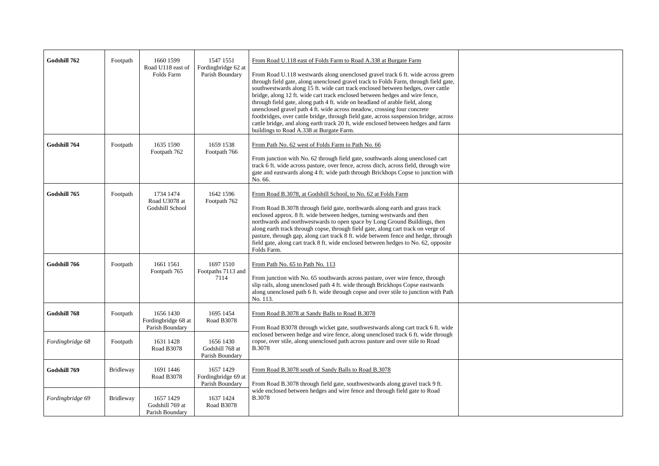| Godshill 762     | Footpath         | 1660 1599<br>Road U118 east of<br>Folds Farm        | 1547 1551<br>Fordingbridge 62 at<br>Parish Boundary | From Road U.118 east of Folds Farm to Road A.338 at Burgate Farm<br>From Road U.118 westwards along unenclosed gravel track 6 ft. wide across green<br>through field gate, along unenclosed gravel track to Folds Farm, through field gate,<br>southwestwards along 15 ft. wide cart track enclosed between hedges, over cattle<br>bridge, along 12 ft. wide cart track enclosed between hedges and wire fence,<br>through field gate, along path 4 ft. wide on headland of arable field, along<br>unenclosed gravel path 4 ft. wide across meadow, crossing four concrete<br>footbridges, over cattle bridge, through field gate, across suspension bridge, across<br>cattle bridge, and along earth track 20 ft, wide enclosed between hedges and farm<br>buildings to Road A.338 at Burgate Farm. |  |
|------------------|------------------|-----------------------------------------------------|-----------------------------------------------------|------------------------------------------------------------------------------------------------------------------------------------------------------------------------------------------------------------------------------------------------------------------------------------------------------------------------------------------------------------------------------------------------------------------------------------------------------------------------------------------------------------------------------------------------------------------------------------------------------------------------------------------------------------------------------------------------------------------------------------------------------------------------------------------------------|--|
| Godshill 764     | Footpath         | 1635 1590<br>Footpath 762                           | 1659 1538<br>Footpath 766                           | From Path No. 62 west of Folds Farm to Path No. 66<br>From junction with No. 62 through field gate, southwards along unenclosed cart<br>track 6 ft. wide across pasture, over fence, across ditch, across field, through wire<br>gate and eastwards along 4 ft. wide path through Brickhops Copse to junction with<br>No. 66.                                                                                                                                                                                                                                                                                                                                                                                                                                                                        |  |
| Godshill 765     | Footpath         | 1734 1474<br>Road U3078 at<br>Godshill School       | 1642 1596<br>Footpath 762                           | From Road B.3078, at Godshill School, to No. 62 at Folds Farm<br>From Road B.3078 through field gate, northwards along earth and grass track<br>enclosed approx. 8 ft. wide between hedges, turning westwards and then<br>northwards and northwestwards to open space by Long Ground Buildings, then<br>along earth track through copse, through field gate, along cart track on verge of<br>pasture, through gap, along cart track 8 ft. wide between fence and hedge, through<br>field gate, along cart track 8 ft. wide enclosed between hedges to No. 62, opposite<br>Folds Farm.                                                                                                                                                                                                                |  |
| Godshill 766     | Footpath         | 1661 1561<br>Footpath 765                           | 1697 1510<br>Footpaths 7113 and<br>7114             | From Path No. 65 to Path No. 113<br>From junction with No. 65 southwards across pasture, over wire fence, through<br>slip rails, along unenclosed path 4 ft. wide through Brickhops Copse eastwards<br>along unenclosed path 6 ft. wide through copse and over stile to junction with Path<br>No. 113.                                                                                                                                                                                                                                                                                                                                                                                                                                                                                               |  |
| Godshill 768     | Footpath         | 1656 1430<br>Fordingbridge 68 at<br>Parish Boundary | 1695 1454<br>Road B3078                             | From Road B.3078 at Sandy Balls to Road B.3078<br>From Road B3078 through wicket gate, southwestwards along cart track 6 ft. wide                                                                                                                                                                                                                                                                                                                                                                                                                                                                                                                                                                                                                                                                    |  |
| Fordingbridge 68 | Footpath         | 1631 1428<br>Road B3078                             | 1656 1430<br>Godshill 768 at<br>Parish Boundary     | enclosed between hedge and wire fence, along unenclosed track 6 ft. wide through<br>copse, over stile, along unenclosed path across pasture and over stile to Road<br><b>B.3078</b>                                                                                                                                                                                                                                                                                                                                                                                                                                                                                                                                                                                                                  |  |
| Godshill 769     | <b>Bridleway</b> | 1691 1446<br>Road B3078                             | 1657 1429<br>Fordingbridge 69 at<br>Parish Boundary | From Road B.3078 south of Sandy Balls to Road B.3078<br>From Road B.3078 through field gate, southwestwards along gravel track 9 ft.                                                                                                                                                                                                                                                                                                                                                                                                                                                                                                                                                                                                                                                                 |  |
| Fordingbridge 69 | <b>Bridleway</b> | 1657 1429<br>Godshill 769 at<br>Parish Boundary     | 1637 1424<br>Road B3078                             | wide enclosed between hedges and wire fence and through field gate to Road<br><b>B.3078</b>                                                                                                                                                                                                                                                                                                                                                                                                                                                                                                                                                                                                                                                                                                          |  |

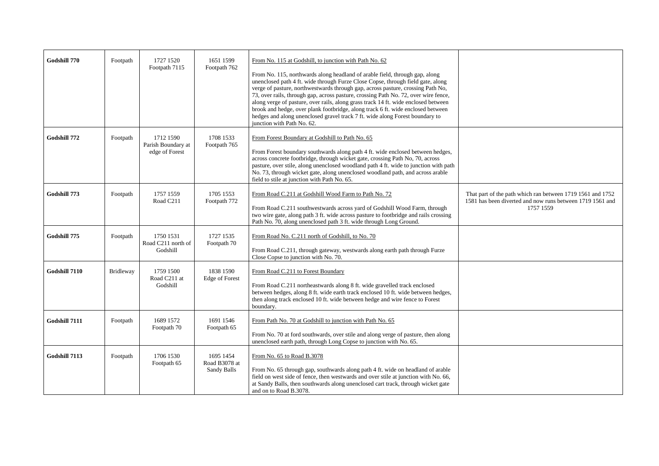| Godshill 770  | Footpath         | 1727 1520<br>Footpath 7115                        | 1651 1599<br>Footpath 762                        | From No. 115 at Godshill, to junction with Path No. 62<br>From No. 115, northwards along headland of arable field, through gap, along<br>unenclosed path 4 ft. wide through Furze Close Copse, through field gate, along<br>verge of pasture, northwestwards through gap, across pasture, crossing Path No,<br>73, over rails, through gap, across pasture, crossing Path No. 72, over wire fence,<br>along verge of pasture, over rails, along grass track 14 ft. wide enclosed between<br>brook and hedge, over plank footbridge, along track 6 ft. wide enclosed between<br>hedges and along unenclosed gravel track 7 ft. wide along Forest boundary to<br>junction with Path No. 62. |                                |
|---------------|------------------|---------------------------------------------------|--------------------------------------------------|-------------------------------------------------------------------------------------------------------------------------------------------------------------------------------------------------------------------------------------------------------------------------------------------------------------------------------------------------------------------------------------------------------------------------------------------------------------------------------------------------------------------------------------------------------------------------------------------------------------------------------------------------------------------------------------------|--------------------------------|
| Godshill 772  | Footpath         | 1712 1590<br>Parish Boundary at<br>edge of Forest | 1708 1533<br>Footpath 765                        | From Forest Boundary at Godshill to Path No. 65<br>From Forest boundary southwards along path 4 ft. wide enclosed between hedges,<br>across concrete footbridge, through wicket gate, crossing Path No, 70, across<br>pasture, over stile, along unenclosed woodland path 4 ft. wide to junction with path<br>No. 73, through wicket gate, along unenclosed woodland path, and across arable<br>field to stile at junction with Path No. 65.                                                                                                                                                                                                                                              |                                |
| Godshill 773  | Footpath         | 1757 1559<br>Road C211                            | 1705 1553<br>Footpath 772                        | From Road C.211 at Godshill Wood Farm to Path No. 72<br>From Road C.211 southwestwards across yard of Godshill Wood Farm, through<br>two wire gate, along path 3 ft. wide across pasture to footbridge and rails crossing<br>Path No. 70, along unenclosed path 3 ft. wide through Long Ground.                                                                                                                                                                                                                                                                                                                                                                                           | That part of t<br>1581 has bee |
| Godshill 775  | Footpath         | 1750 1531<br>Road C211 north of<br>Godshill       | 1727 1535<br>Footpath 70                         | From Road No. C.211 north of Godshill, to No. 70<br>From Road C.211, through gateway, westwards along earth path through Furze<br>Close Copse to junction with No. 70.                                                                                                                                                                                                                                                                                                                                                                                                                                                                                                                    |                                |
| Godshill 7110 | <b>Bridleway</b> | 1759 1500<br>Road C211 at<br>Godshill             | 1838 1590<br>Edge of Forest                      | From Road C.211 to Forest Boundary<br>From Road C.211 northeastwards along 8 ft. wide gravelled track enclosed<br>between hedges, along 8 ft. wide earth track enclosed 10 ft. wide between hedges,<br>then along track enclosed 10 ft. wide between hedge and wire fence to Forest<br>boundary.                                                                                                                                                                                                                                                                                                                                                                                          |                                |
| Godshill 7111 | Footpath         | 1689 1572<br>Footpath 70                          | 1691 1546<br>Footpath 65                         | From Path No. 70 at Godshill to junction with Path No. 65<br>From No. 70 at ford southwards, over stile and along verge of pasture, then along<br>unenclosed earth path, through Long Copse to junction with No. 65.                                                                                                                                                                                                                                                                                                                                                                                                                                                                      |                                |
| Godshill 7113 | Footpath         | 1706 1530<br>Footpath 65                          | 1695 1454<br>Road B3078 at<br><b>Sandy Balls</b> | From No. 65 to Road B.3078<br>From No. 65 through gap, southwards along path 4 ft. wide on headland of arable<br>field on west side of fence, then westwards and over stile at junction with No. 66,<br>at Sandy Balls, then southwards along unenclosed cart track, through wicket gate<br>and on to Road B.3078.                                                                                                                                                                                                                                                                                                                                                                        |                                |

### That part of the path which ran between 1719 1561 and 1752 1581 has been diverted and now runs between 1719 1561 and 1757 1559